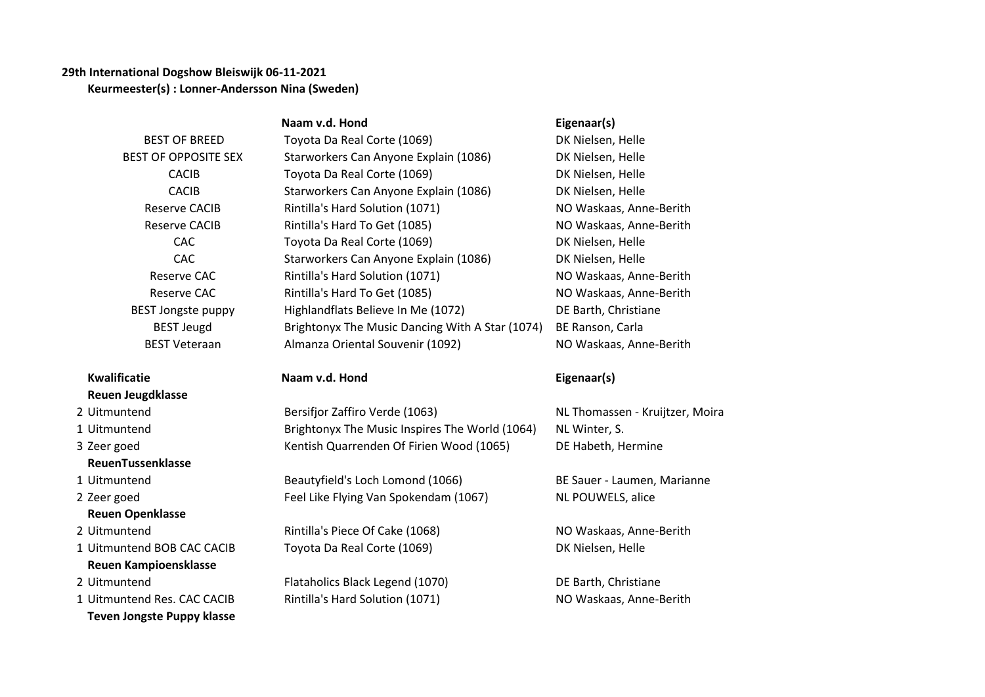## **29th International Dogshow Bleiswijk 06-11-2021 Keurmeester(s) : Lonner-Andersson Nina (Sweden)**

|                              | Naam v.d. Hond                                  | Eigenaar(s)                     |
|------------------------------|-------------------------------------------------|---------------------------------|
| <b>BEST OF BREED</b>         | Toyota Da Real Corte (1069)                     | DK Nielsen, Helle               |
| <b>BEST OF OPPOSITE SEX</b>  | Starworkers Can Anyone Explain (1086)           | DK Nielsen, Helle               |
| <b>CACIB</b>                 | Toyota Da Real Corte (1069)                     | DK Nielsen, Helle               |
| <b>CACIB</b>                 | Starworkers Can Anyone Explain (1086)           | DK Nielsen, Helle               |
| <b>Reserve CACIB</b>         | Rintilla's Hard Solution (1071)                 | NO Waskaas, Anne-Berith         |
| <b>Reserve CACIB</b>         | Rintilla's Hard To Get (1085)                   | NO Waskaas, Anne-Berith         |
| <b>CAC</b>                   | Toyota Da Real Corte (1069)                     | DK Nielsen, Helle               |
| <b>CAC</b>                   | Starworkers Can Anyone Explain (1086)           | DK Nielsen, Helle               |
| Reserve CAC                  | Rintilla's Hard Solution (1071)                 | NO Waskaas, Anne-Berith         |
| <b>Reserve CAC</b>           | Rintilla's Hard To Get (1085)                   | NO Waskaas, Anne-Berith         |
| <b>BEST Jongste puppy</b>    | Highlandflats Believe In Me (1072)              | DE Barth, Christiane            |
| <b>BEST Jeugd</b>            | Brightonyx The Music Dancing With A Star (1074) | BE Ranson, Carla                |
| <b>BEST Veteraan</b>         | Almanza Oriental Souvenir (1092)                | NO Waskaas, Anne-Berith         |
| <b>Kwalificatie</b>          | Naam v.d. Hond                                  | Eigenaar(s)                     |
| <b>Reuen Jeugdklasse</b>     |                                                 |                                 |
| 2 Uitmuntend                 | Bersifjor Zaffiro Verde (1063)                  | NL Thomassen - Kruijtzer, Moira |
| 1 Uitmuntend                 | Brightonyx The Music Inspires The World (1064)  | NL Winter, S.                   |
| 3 Zeer goed                  | Kentish Quarrenden Of Firien Wood (1065)        | DE Habeth, Hermine              |
| ReuenTussenklasse            |                                                 |                                 |
| 1 Uitmuntend                 | Beautyfield's Loch Lomond (1066)                | BE Sauer - Laumen, Marianne     |
| 2 Zeer goed                  | Feel Like Flying Van Spokendam (1067)           | NL POUWELS, alice               |
| <b>Reuen Openklasse</b>      |                                                 |                                 |
| 2 Uitmuntend                 | Rintilla's Piece Of Cake (1068)                 | NO Waskaas, Anne-Berith         |
| 1 Uitmuntend BOB CAC CACIB   | Toyota Da Real Corte (1069)                     | DK Nielsen, Helle               |
| <b>Reuen Kampioensklasse</b> |                                                 |                                 |
| 2 Uitmuntend                 | Flataholics Black Legend (1070)                 | DE Barth, Christiane            |

1 Uitmuntend Res. CAC CACIB Rintilla's Hard Solution (1071) NO Waskaas, Anne-Berith **Teven Jongste Puppy klasse**